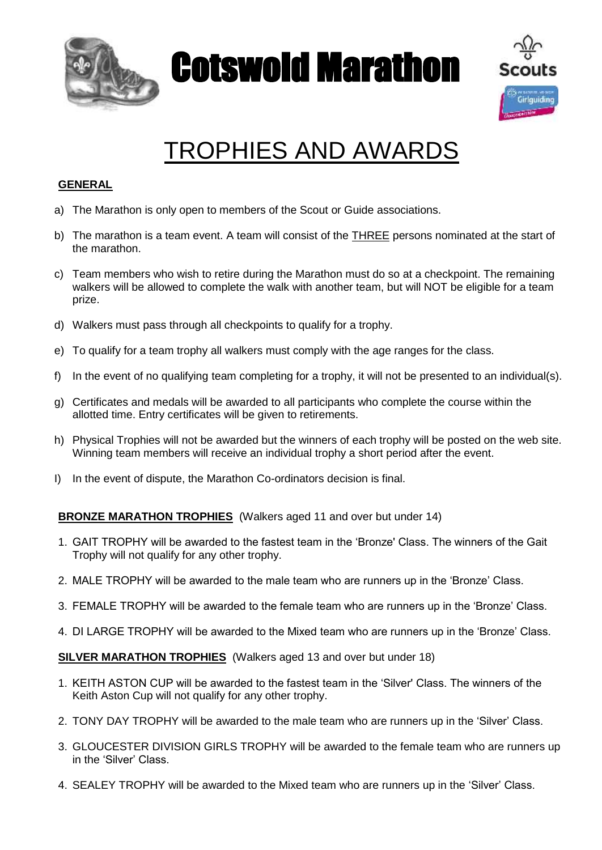

Cotswold Marathon



## TROPHIES AND AWARDS

## **GENERAL**

- a) The Marathon is only open to members of the Scout or Guide associations.
- b) The marathon is a team event. A team will consist of the **THREE** persons nominated at the start of the marathon.
- c) Team members who wish to retire during the Marathon must do so at a checkpoint. The remaining walkers will be allowed to complete the walk with another team, but will NOT be eligible for a team prize.
- d) Walkers must pass through all checkpoints to qualify for a trophy.
- e) To qualify for a team trophy all walkers must comply with the age ranges for the class.
- f) In the event of no qualifying team completing for a trophy, it will not be presented to an individual(s).
- g) Certificates and medals will be awarded to all participants who complete the course within the allotted time. Entry certificates will be given to retirements.
- h) Physical Trophies will not be awarded but the winners of each trophy will be posted on the web site. Winning team members will receive an individual trophy a short period after the event.
- I) In the event of dispute, the Marathon Co-ordinators decision is final.

## **BRONZE MARATHON TROPHIES** (Walkers aged 11 and over but under 14)

- 1. GAIT TROPHY will be awarded to the fastest team in the 'Bronze' Class. The winners of the Gait Trophy will not qualify for any other trophy.
- 2. MALE TROPHY will be awarded to the male team who are runners up in the 'Bronze' Class.
- 3. FEMALE TROPHY will be awarded to the female team who are runners up in the 'Bronze' Class.
- 4. DI LARGE TROPHY will be awarded to the Mixed team who are runners up in the 'Bronze' Class.

**SILVER MARATHON TROPHIES**(Walkers aged 13 and over but under 18)

- 1. KEITH ASTON CUP will be awarded to the fastest team in the 'Silver' Class. The winners of the Keith Aston Cup will not qualify for any other trophy.
- 2. TONY DAY TROPHY will be awarded to the male team who are runners up in the 'Silver' Class.
- 3. GLOUCESTER DIVISION GIRLS TROPHY will be awarded to the female team who are runners up in the 'Silver' Class.
- 4. SEALEY TROPHY will be awarded to the Mixed team who are runners up in the 'Silver' Class.